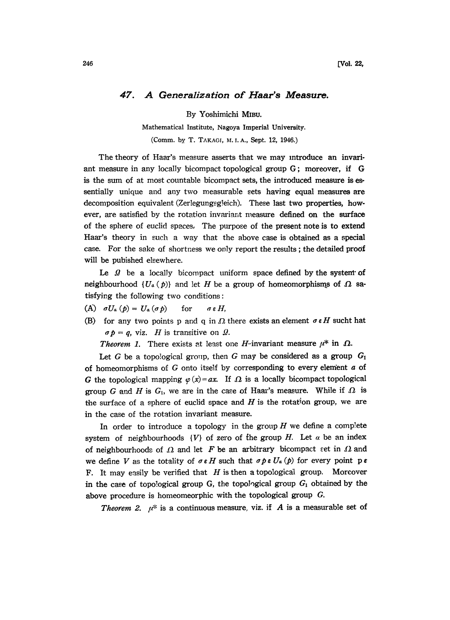## 47. A Generalization of Haar's Measure.

By Yoshimichi MIBU.

Mathematical Institute, Nagoya Imperial University.

(Comm. by T. TAKAGI, M. I. A., Sept. 12, 1946.)

The theory of Haar's measure asserts that we may introduce an invariant measure in any locally bicompact topological group G; moreover, if G is the sum of at most countable bicompact sets, the introduced measure is essentially unique and any two measurable sets having equal measures are decomposition equivalent (Zerlegungsg!eich). These last two properties, however, are satisfied by the rotation invariant measure defined on the surface of the sphere of euclid spaces. The purpose of the present note is to extend Haar's theory in such a way that the above case is obtained as a special case. For the sake of shortness we only report the results; the detailed proof will be pubished elsewhere.

Le  $\Omega$  be a locally bicompact uniform space defined by the system of neighbourhood  $\{U_a(p)\}\$  and let H be a group of homeomorphisms of  $\Omega$  satisfying the following two conditions:

- (A)  $\sigma U_a(p) = U_a(\sigma p)$  for  $\sigma \in H$ ,
- (B) for any two points p and q in  $\Omega$  there exists an element  $\sigma \in H$  sucht hat  $\sigma p = q$ , viz. H is transitive on  $\Omega$ .

**Theorem 1.** There exists at least one *H*-invariant measure  $\mu^*$  in  $\Omega$ .

Let G be a topological group, then G may be considered as a group  $G_1$ of homeomorphisms of G onto itself by corresponding to every element  $\alpha$  of G the topological mapping  $\varphi(x)=ax$ . If  $\Omega$  is a locally bicompact topological group G and H is  $G_i$ , we are in the case of Haar's measure. While if  $\Omega$  is the surface of a sphere of euclid space and  $H$  is the rotation group, we are in the case of the rotation invariant measure.

In order to introduce a topology in the group  $H$  we define a complete system of neighbourhoods  $\{V\}$  of zero of the group H. Let  $\alpha$  be an index of neighbourhoods of  $\Omega$  and let F be an arbitrary bicompact set in  $\Omega$  and<br>we define V is the totality of  $\sigma \in H$  such that  $\sigma h \in U_{\sigma}(h)$  for every point  $h \in H$ we define V as the totality of  $\sigma \in H$  such that  $\sigma \circ \sigma \in U_a$  (p) for every point ps F. It may easily be verified that  $H$  is then a topological group. Moreover in the case of topological group G, the topological group  $G_1$  obtained by the above procedure is homeomeorphic with the topological group G.

*Theorem 2.*  $\mu^*$  is a continuous measure, viz. if A is a measurable set of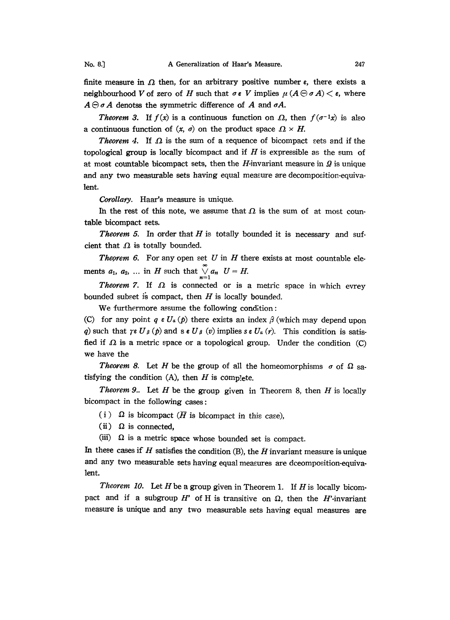finite measure in  $\Omega$  then, for an arbitrary positive number  $\epsilon$ , there exists a neighbourhood V of zero of H such that  $\sigma \in V$  implies  $\mu(A \ominus \sigma A) < \varepsilon$ , where  $A \ominus \sigma A$  denotss the symmetric difference of A and  $\sigma A$ .

**Theorem 3.** If  $f(x)$  is a continuous function on  $\Omega$ , then  $f(\sigma^{-1}x)$  is also a continuous function of  $(x, \sigma)$  on the product space  $\Omega \times H$ .

**Theorem 4.** If  $\Omega$  is the sum of a sequence of bicompact sets and if the topological group is locally bicompact and if  $H$  is expressible as the sum of at most countable bicompact sets, then the H-invariant measure in  $\mathcal{Q}$  is unique and any two measurable sets having equal measure are decomposition-equivalent.

Corollary. Haar's measure is unique.

In the rest of this note, we assume that  $\Omega$  is the sum of at most countable bicompact sets.

**Theorem 5.** In order that  $H$  is totally bounded it is necessary and sufcient that  $\Omega$  is totally bounded.

**Theorem 6.** For any open set U in H there exists at most countable elements  $a_1$ ,  $a_2$ , ... in H such that  $\bigvee_{n=1}^{\infty} a_n$   $U = H$ .

Theorem 7. If  $\Omega$  is connected or is a metric space in which evrey bounded subset is compact, then  $H$  is locally bounded.

We furthermore assume the following condition:

(C) for any point  $q \in U_a(p)$  there exists an index  $\beta$  (which may depend upon *q*) such that  $\gamma$ e<br>fied if .O. is a  $U_{\beta}(p)$  and  $s \in U_{\beta}(v)$  implies  $s \in U_{\alpha}(r)$ . This condition is satisfied if  $\Omega$  is a metric space or a topological group. Under the condition (C) we have the

**Theorem 8.** Let H be the group of all the homeomorphisms  $\sigma$  of  $\Omega$  satisfying the condition  $(A)$ , then  $H$  is complete.

Theorem 9.. Let  $H$  be the group given in Theorem 8, then  $H$  is locally bicompact in the following cases:

(i)  $\Omega$  is bicompact ( $\overline{H}$  is bicompact in this case),

(ii)  $\Omega$  is connected,

(iii)  $\Omega$  is a metric space whose bounded set is compact.

In these cases if  $H$  satisfies the condition (B), the  $H$  invariant measure is unique and any two measurable sets having equal measures are dceomposition-equivalent.

*Theorem 10.* Let H be a group given in Theorem 1. If H is locally bicompact and if a subgroup  $H'$  of H is transitive on  $\Omega$ , then the H'-invariant measure is unique and any two measurable sets having equal measures are